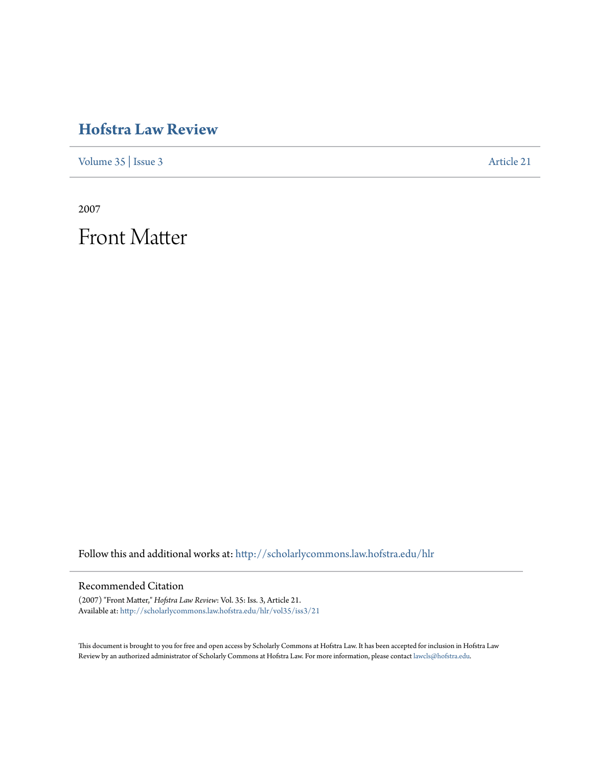## **[Hofstra Law Review](http://scholarlycommons.law.hofstra.edu/hlr?utm_source=scholarlycommons.law.hofstra.edu%2Fhlr%2Fvol35%2Fiss3%2F21&utm_medium=PDF&utm_campaign=PDFCoverPages)**

[Volume 35](http://scholarlycommons.law.hofstra.edu/hlr/vol35?utm_source=scholarlycommons.law.hofstra.edu%2Fhlr%2Fvol35%2Fiss3%2F21&utm_medium=PDF&utm_campaign=PDFCoverPages) | [Issue 3](http://scholarlycommons.law.hofstra.edu/hlr/vol35/iss3?utm_source=scholarlycommons.law.hofstra.edu%2Fhlr%2Fvol35%2Fiss3%2F21&utm_medium=PDF&utm_campaign=PDFCoverPages) [Article 21](http://scholarlycommons.law.hofstra.edu/hlr/vol35/iss3/21?utm_source=scholarlycommons.law.hofstra.edu%2Fhlr%2Fvol35%2Fiss3%2F21&utm_medium=PDF&utm_campaign=PDFCoverPages)

2007

Front Matter

Follow this and additional works at: [http://scholarlycommons.law.hofstra.edu/hlr](http://scholarlycommons.law.hofstra.edu/hlr?utm_source=scholarlycommons.law.hofstra.edu%2Fhlr%2Fvol35%2Fiss3%2F21&utm_medium=PDF&utm_campaign=PDFCoverPages)

#### Recommended Citation

(2007) "Front Matter," *Hofstra Law Review*: Vol. 35: Iss. 3, Article 21. Available at: [http://scholarlycommons.law.hofstra.edu/hlr/vol35/iss3/21](http://scholarlycommons.law.hofstra.edu/hlr/vol35/iss3/21?utm_source=scholarlycommons.law.hofstra.edu%2Fhlr%2Fvol35%2Fiss3%2F21&utm_medium=PDF&utm_campaign=PDFCoverPages)

This document is brought to you for free and open access by Scholarly Commons at Hofstra Law. It has been accepted for inclusion in Hofstra Law Review by an authorized administrator of Scholarly Commons at Hofstra Law. For more information, please contact [lawcls@hofstra.edu](mailto:lawcls@hofstra.edu).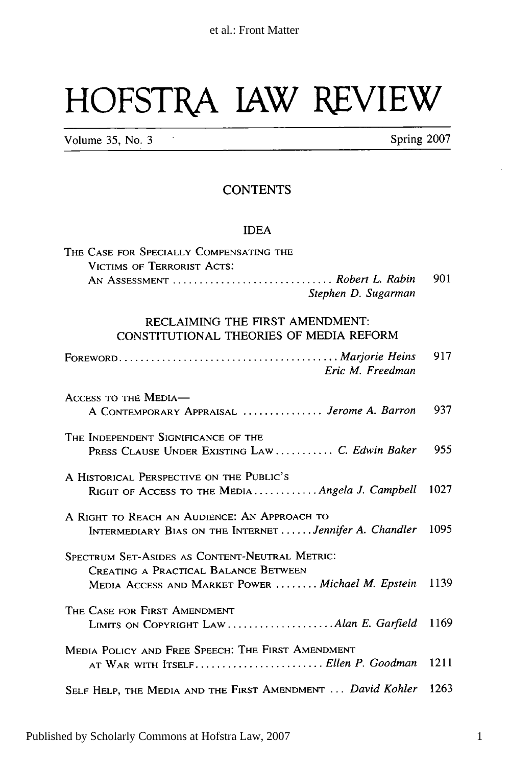# HOFSTPA **lAW** REVIEW

Volume 35, No. 3 **Spring 2007** 

### **CONTENTS**

#### **IDEA**

| THE CASE FOR SPECIALLY COMPENSATING THE                                                                                                     |      |
|---------------------------------------------------------------------------------------------------------------------------------------------|------|
| VICTIMS OF TERRORIST ACTS:                                                                                                                  |      |
| AN ASSESSMENT  Robert L. Rabin<br>Stephen D. Sugarman                                                                                       | 901  |
| RECLAIMING THE FIRST AMENDMENT:<br>CONSTITUTIONAL THEORIES OF MEDIA REFORM                                                                  |      |
| Eric M. Freedman                                                                                                                            | 917  |
| ACCESS TO THE MEDIA-<br>A CONTEMPORARY APPRAISAL  Jerome A. Barron                                                                          | 937  |
| THE INDEPENDENT SIGNIFICANCE OF THE<br>PRESS CLAUSE UNDER EXISTING LAW  C. Edwin Baker                                                      | 955  |
| A HISTORICAL PERSPECTIVE ON THE PUBLIC'S<br>RIGHT OF ACCESS TO THE MEDIA  Angela J. Campbell                                                | 1027 |
| A RIGHT TO REACH AN AUDIENCE: AN APPROACH TO<br>INTERMEDIARY BIAS ON THE INTERNET  Jennifer A. Chandler                                     | 1095 |
| SPECTRUM SET-ASIDES AS CONTENT-NEUTRAL METRIC:<br>CREATING A PRACTICAL BALANCE BETWEEN<br>MEDIA ACCESS AND MARKET POWER  Michael M. Epstein | 1139 |
| THE CASE FOR FIRST AMENDMENT<br>LIMITS ON COPYRIGHT LAW  Alan E. Garfield                                                                   | 1169 |
| MEDIA POLICY AND FREE SPEECH: THE FIRST AMENDMENT<br>AT WAR WITH ITSELF Ellen P. Goodman                                                    | 1211 |
| SELF HELP, THE MEDIA AND THE FIRST AMENDMENT  David Kohler                                                                                  | 1263 |